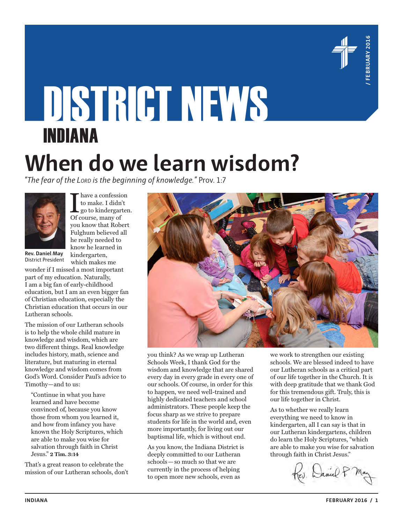

# DISTRICT NEWS INDIANA **When do we learn wisdom?**

*"The fear of the Lord is the beginning of knowledge."* Prov. 1:7



 $\begin{array}{l} \displaystyle\prod_{\text{so}} \text{have a consists of } \text{the } \text{non-} \text{non-} \text{non-} \text{non-} \text{non-} \text{non-} \text{non-} \text{non-} \text{non-} \text{non-} \text{non-} \text{non-} \text{non-} \text{non-} \text{non-} \text{non-} \text{non-} \text{non-} \text{non-} \text{non-} \text{non-} \text{non-} \text{non-} \text{non-} \text{non-} \text{non-} \text{non-} \text{non-} \text{non-} \text{non-} \text{non-} \text{non$ have a confession to make. I didn't go to kindergarten. you know that Robert Fulghum believed all he really needed to know he learned in kindergarten,

which makes me

**Rev. Daniel May** District President

wonder if I missed a most important part of my education. Naturally, I am a big fan of early-childhood education, but I am an even bigger fan of Christian education, especially the Christian education that occurs in our Lutheran schools.

The mission of our Lutheran schools is to help the whole child mature in knowledge and wisdom, which are two different things. Real knowledge includes history, math, science and literature, but maturing in eternal knowledge and wisdom comes from God's Word. Consider Paul's advice to Timothy—and to us:

"Continue in what you have learned and have become convinced of, because you know those from whom you learned it, and how from infancy you have known the Holy Scriptures, which are able to make you wise for salvation through faith in Christ Jesus." **2 Tim. 3:14**

That's a great reason to celebrate the mission of our Lutheran schools, don't



you think? As we wrap up Lutheran Schools Week, I thank God for the wisdom and knowledge that are shared every day in every grade in every one of our schools. Of course, in order for this to happen, we need well-trained and highly dedicated teachers and school administrators. These people keep the focus sharp as we strive to prepare students for life in the world and, even more importantly, for living out our baptismal life, which is without end.

As you know, the Indiana District is deeply committed to our Lutheran schools—so much so that we are currently in the process of helping to open more new schools, even as

we work to strengthen our existing schools. We are blessed indeed to have our Lutheran schools as a critical part of our life together in the Church. It is with deep gratitude that we thank God for this tremendous gift. Truly, this is our life together in Christ.

As to whether we really learn everything we need to know in kindergarten, all I can say is that in our Lutheran kindergartens, children do learn the Holy Scriptures, "which are able to make you wise for salvation through faith in Christ Jesus."

Ev. Daniel P.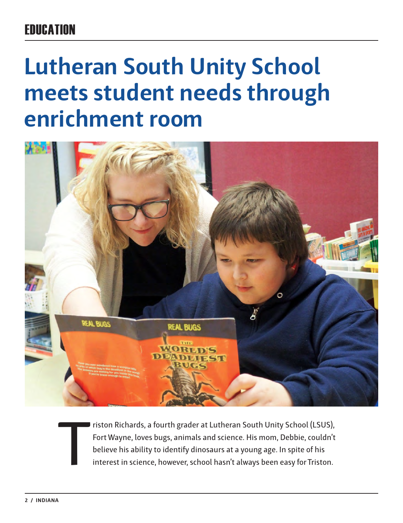# **FRIICATION**

# **Lutheran South Unity School meets student needs through enrichment room**



T riston Richards, a fourth grader at Lutheran South Unity School (LSUS), Fort Wayne, loves bugs, animals and science. His mom, Debbie, couldn't believe his ability to identify dinosaurs at a young age. In spite of his interest in science, however, school hasn't always been easy for Triston.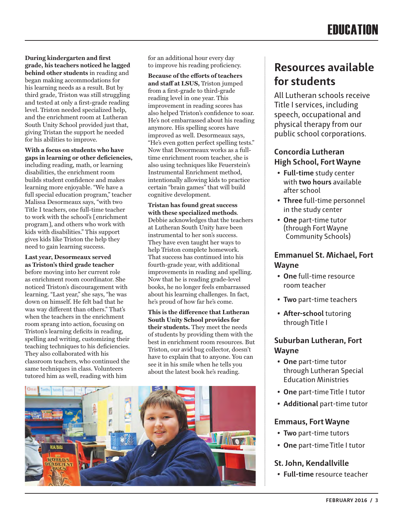**During kindergarten and first grade, his teachers noticed he lagged behind other students** in reading and began making accommodations for his learning needs as a result. But by third grade, Triston was still struggling and tested at only a first-grade reading level. Triston needed specialized help, and the enrichment room at Lutheran South Unity School provided just that, giving Tristan the support he needed for his abilities to improve.

**With a focus on students who have gaps in learning or other deficiencies,**  including reading, math, or learning disabilities, the enrichment room builds student confidence and makes learning more enjoyable. "We have a full special education program," teacher Malissa Desormeaux says, "with two Title I teachers, one full-time teacher to work with the school's [enrichment program], and others who work with kids with disabilities." This support gives kids like Triston the help they need to gain learning success.

**Last year, Desormeaux served as Triston's third grade teacher**  before moving into her current role as enrichment room coordinator. She noticed Triston's discouragement with learning. "Last year," she says, "he was down on himself. He felt bad that he was way different than others." That's when the teachers in the enrichment room sprang into action, focusing on Triston's learning deficits in reading, spelling and writing, customizing their teaching techniques to his deficiencies. They also collaborated with his classroom teachers, who continued the same techniques in class. Volunteers tutored him as well, reading with him

for an additional hour every day to improve his reading proficiency.

**Because of the efforts of teachers and staff at LSUS,** Triston jumped from a first-grade to third-grade reading level in one year. This improvement in reading scores has also helped Triston's confidence to soar. He's not embarrassed about his reading anymore. His spelling scores have improved as well. Desormeaux says, "He's even gotten perfect spelling tests." Now that Desormeaux works as a fulltime enrichment room teacher, she is also using techniques like Feuerstein's Instrumental Enrichment method, intentionally allowing kids to practice certain "brain games" that will build cognitive development.

**Tristan has found great success with these specialized methods**. Debbie acknowledges that the teachers at Lutheran South Unity have been instrumental to her son's success. They have even taught her ways to help Triston complete homework. That success has continued into his fourth-grade year, with additional improvements in reading and spelling. Now that he is reading grade-level books, he no longer feels embarrassed about his learning challenges. In fact, he's proud of how far he's come.

**This is the difference that Lutheran South Unity School provides for their students.** They meet the needs of students by providing them with the best in enrichment room resources. But Triston, our avid bug collector, doesn't have to explain that to anyone. You can see it in his smile when he tells you about the latest book he's reading.



## **Resources available for students**

All Lutheran schools receive Title I services, including speech, occupational and physical therapy from our public school corporations.

#### **Concordia Lutheran High School, Fort Wayne**

- **• Full-time** study center with **two hours** available after school
- **• Three** full-time personnel in the study center
- **• One** part-time tutor (through Fort Wayne Community Schools)

#### **Emmanuel St. Michael, Fort Wayne**

- **• One** full-time resource room teacher
- **• Two** part-time teachers
- **• After-school** tutoring through Title I

#### **Suburban Lutheran, Fort Wayne**

- **• One** part-time tutor through Lutheran Special Education Ministries
- **• One** part-time Title I tutor
- **• Additional** part-time tutor

#### **Emmaus, Fort Wayne**

- **• Two** part-time tutors
- **• One** part-time Title I tutor

#### **St. John, Kendallville**

**• Full-time** resource teacher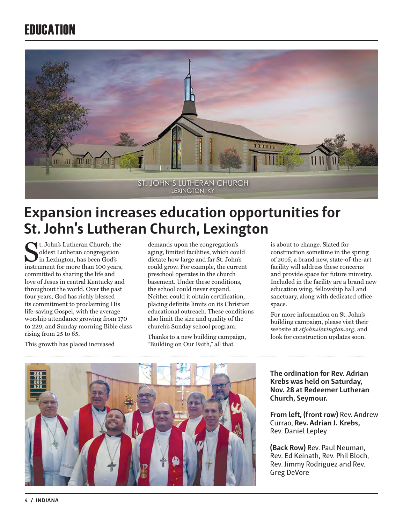# **FRIICATION**



# **Expansion increases education opportunities for St. John's Lutheran Church, Lexington**

t. John's Lutheran Church, the oldest Lutheran congregation in Lexington, has been God's instrument for more than 100 years, committed to sharing the life and love of Jesus in central Kentucky and throughout the world. Over the past four years, God has richly blessed its commitment to proclaiming His life-saving Gospel, with the average worship attendance growing from 170 to 229, and Sunday morning Bible class rising from 25 to 65.

This growth has placed increased

demands upon the congregation's aging, limited facilities, which could dictate how large and far St. John's could grow. For example, the current preschool operates in the church basement. Under these conditions, the school could never expand. Neither could it obtain certification, placing definite limits on its Christian educational outreach. These conditions also limit the size and quality of the church's Sunday school program.

Thanks to a new building campaign, "Building on Our Faith," all that

is about to change. Slated for construction sometime in the spring of 2016, a brand new, state-of-the-art facility will address these concerns and provide space for future ministry. Included in the facility are a brand new education wing, fellowship hall and sanctuary, along with dedicated office space.

For more information on St. John's building campaign, please visit their website at *stjohnslexington.org*, and look for construction updates soon.



**The ordination for Rev. Adrian Krebs was held on Saturday, Nov. 28 at Redeemer Lutheran Church, Seymour.** 

**From left, (front row)** Rev. Andrew Currao, **Rev. Adrian J. Krebs,** Rev. Daniel Lepley

**(Back Row)** Rev. Paul Neuman, Rev. Ed Keinath, Rev. Phil Bloch, Rev. Jimmy Rodriguez and Rev. Greg DeVore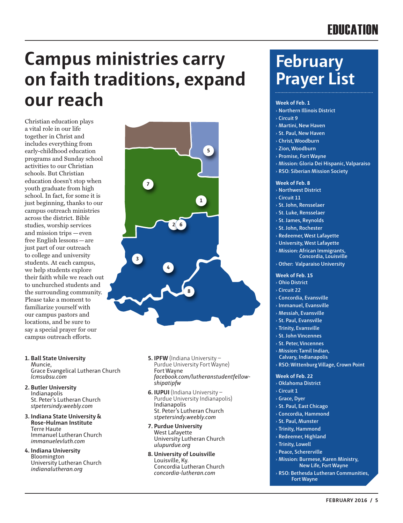# **FRIICATION**

# **Campus ministries carry on faith traditions, expand our reach**

**7**

**3**

**4**

**2 6**

**8**

Christian education plays a vital role in our life together in Christ and includes everything from early-childhood education programs and Sunday school activities to our Christian schools. But Christian education doesn't stop when youth graduate from high school. In fact, for some it is just beginning, thanks to our campus outreach ministries across the district. Bible studies, worship services and mission trips —even free English lessons—are just part of our outreach to college and university students. At each campus, we help students explore their faith while we reach out to unchurched students and the surrounding community. Please take a moment to familiarize yourself with our campus pastors and locations, and be sure to say a special prayer for our campus outreach efforts.

**1. Ball State University** Muncie,

Grace Evangelical Lutheran Church *lcmsubsu.com*

- **2. Butler University** Indianapolis St. Peter's Lutheran Church *stpetersindy.weebly.com*
- **3. Indiana State University & Rose-Hulman Institute** Terre Haute Immanuel Lutheran Church *immanuelevluth.com*
- **4. Indiana University** Bloomington University Lutheran Church *indianalutheran.org*

**5. IPFW** (Indiana University – Purdue University Fort Wayne) Fort Wayne *facebook.com/lutheranstudentfellowshipatipfw*

**5**

**1**

- **6. IUPUI** (Indiana University Purdue University Indianapolis) Indianapolis St. Peter's Lutheran Church *stpetersindy.weebly.com*
- **7. Purdue University** West Lafayette University Lutheran Church *ulupurdue.org*
- **8. University of Louisville** Louisville, Ky. Concordia Lutheran Church *concordia-lutheran.com*

# **February Prayer List**

#### **Week of Feb. 1**

- › **Northern Illinois District** › **Circuit 9**
- › **Martini, New Haven**
- › **St. Paul, New Haven**
- › **Christ, Woodburn**
- › **Zion, Woodburn**
- › **Promise, Fort Wayne**
- › **Mission: Gloria Dei Hispanic, Valparaiso**
- › **RSO: Siberian Mission Society**

#### **Week of Feb. 8**

- › **Northwest District**
- › **Circuit 11**
- › **St. John, Rensselaer**
- › **St. Luke, Rensselaer**
- › **St. James, Reynolds**
- › **St. John, Rochester**
- › **Redeemer, West Lafayette**
- › **University, West Lafayette**
- › **Mission: African Immigrants, Concordia, Louisville**
- › **Other: Valparaiso University**

#### **Week of Feb. 15**

- › **Ohio District**
- › **Circuit 22**
- › **Concordia, Evansville**
- › **Immanuel, Evansville**
- › **Messiah, Evansville**
- › **St. Paul, Evansville**
- › **Trinity, Evansville**
- › **St. John Vincennes**
- › **St. Peter, Vincennes**
- › **Mission: Tamil Indian, Calvary, Indianapolis**
- › **RSO: Wittenburg Village, Crown Point**

#### **Week of Feb. 22**

- › **Oklahoma District**
- › **Circuit 1**
- › **Grace, Dyer**
- › **St. Paul, East Chicago**
- › **Concordia, Hammond**
- › **St. Paul, Munster**
- › **Trinity, Hammond**
- › **Redeemer, Highland**
- › **Trinity, Lowell**
- › **Peace, Schererville**
- › **Mission: Burmese, Karen Ministry, New Life, Fort Wayne**
- › **RSO: Bethesda Lutheran Communities, Fort Wayne**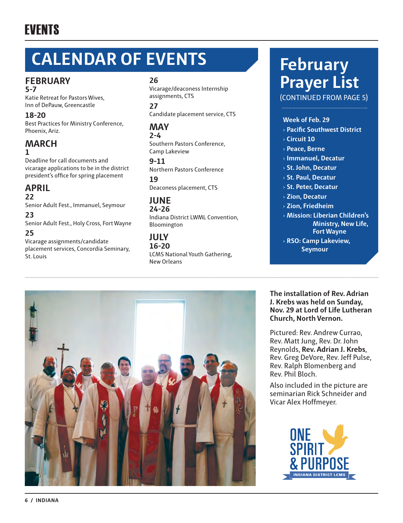# EVENTS

# **CALENDAR OF EVENTS February**

#### **FEBRUARY 5-7**

Katie Retreat for Pastors Wives, Inn of DePauw, Greencastle

**18-20** Best Practices for Ministry Conference, Phoenix, Ariz.

#### **MARCH 1**

Deadline for call documents and vicarage applications to be in the district president's office for spring placement

#### **APRIL 22**

Senior Adult Fest., Immanuel, Seymour

**23** Senior Adult Fest., Holy Cross, Fort Wayne

#### **25**

Vicarage assignments/candidate placement services, Concordia Seminary, St. Louis

#### **26**

Vicarage/deaconess Internship assignments, CTS

**27** Candidate placement service, CTS

#### **MAY 2-4**

Southern Pastors Conference, Camp Lakeview

**9-11** Northern Pastors Conference

**19** Deaconess placement, CTS

#### **JUNE 24-26**

Indiana District LWML Convention, Bloomington

#### **JULY 16-20** LCMS National Youth Gathering, New Orleans

# **Prayer List**

(CONTINUED FROM PAGE 5)

#### **Week of Feb. 29**

- › **Pacific Southwest District**
- › **Circuit 10**
- › **Peace, Berne**
- › **Immanuel, Decatur**
- › **St. John, Decatur**
- › **St. Paul, Decatur**
- › **St. Peter, Decatur**
- › **Zion, Decatur**
- › **Zion, Friedheim**
- › **Mission: Liberian Children's Ministry, New Life, Fort Wayne**
- › **RSO: Camp Lakeview, Seymour**



**The installation of Rev. Adrian J. Krebs was held on Sunday, Nov. 29 at Lord of Life Lutheran Church, North Vernon.**

Pictured: Rev. Andrew Currao, Rev. Matt Jung, Rev. Dr. John Reynolds, **Rev. Adrian J. Krebs**, Rev. Greg DeVore, Rev. Jeff Pulse, Rev. Ralph Blomenberg and Rev. Phil Bloch.

Also included in the picture are seminarian Rick Schneider and Vicar Alex Hoffmeyer.

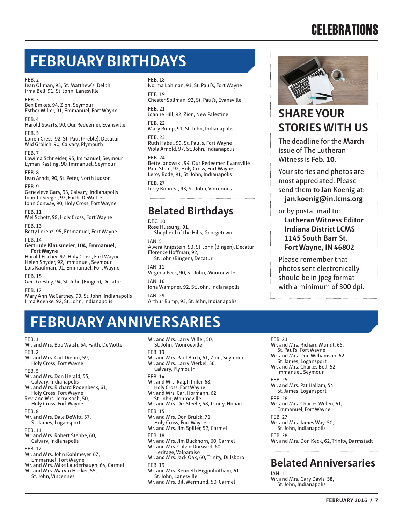# **CELEBRATIONS**

# **FEBRUARY BIRTHDAYS**

#### FEB. 2

Jean Ollman, 93, St. Matthew's, Delphi Irma Bell, 91, St. John, Lanesville

FEB. 3 Ben Emkes, 94, Zion, Seymour Esther Miller, 91, Emmanuel, Fort Wayne

FEB. 4 Harold Swarts, 90, Our Redeemer, Evansville

FEB. 5 Lorien Cress, 92, St. Paul (Preble), Decatur Mid Grolich, 90, Calvary, Plymouth

FEB. 7 Lowima Schneider, 95, Immanuel, Seymour Lyman Kasting, 90, Immanuel, Seymour

FEB. 8 Jean Arndt, 90, St. Peter, North Judson

FEB. 9 Genevieve Gary, 93, Calvary, Indianapolis Juanita Seeger, 93, Faith, DeMotte John Conway, 90, Holy Cross, Fort Wayne

FEB. 11 Mel Schott, 98, Holy Cross, Fort Wayne

FEB. 13 Betty Lorenz, 95, Emmanuel, Fort Wayne

FEB. 14 **Gertrude Klausmeier, 104, Emmanuel, Fort Wayne**

Harold Fischer, 97, Holy Cross, Fort Wayne Helen Snyder, 92, Immanuel, Seymour Lois Kaufman, 91, Emmanuel, Fort Wayne

FEB. 15 Gert Gresley, 94, St. John (Bingen), Decatur

FEB. 17 Mary Ann McCartney, 99, St. John, Indianapolis Irma Koepke, 92, St. John, Indianapolis

#### FEB. 18

Norma Lohman, 93, St. Paul's, Fort Wayne FEB. 19

Chester Sollman, 92, St. Paul's, Evansville FEB. 21

Joanne Hill, 92, Zion, New Palestine

FEB. 22

Mary Rump, 91, St. John, Indianapolis FEB. 23

Ruth Habel, 99, St. Paul's, Fort Wayne Viola Arnold, 97, St. John, Indianapolis

#### FEB. 24

Betty Janowski, 94, Our Redeemer, Evansville Paul Stein, 92, Holy Cross, Fort Wayne Leroy Rode, 91, St. John, Indianapolis

FEB. 27

Jerry Kohorst, 93, St. John, Vincennes

### **Belated Birthdays**

DEC. 10

Rose Hussung, 91, Shepherd of the Hills, Georgetown

JAN. 5

Alvera Knipstein, 93, St. John (Bingen), Decatur Florence Hoffman, 92,

St. John (Bingen), Decatur

JAN. 11

Virginia Peck, 90, St. John, Monroeville JAN. 16

Iona Wampner, 92, St. John, Indianapolis JAN. 29

Arthur Rump, 93, St. John, Indianapolis



## **SHARE YOUR STORIES WITH US**

The deadline for the **March** issue of The Lutheran Witness is **Feb. 10**.

Your stories and photos are most appreciated. Please send them to Jan Koenig at: **jan.koenig@in.lcms.org** 

or by postal mail to:

**Lutheran Witness Editor Indiana District LCMS 1145 South Barr St. Fort Wayne, IN 46802** 

Please remember that photos sent electronically should be in jpeg format with a minimum of 300 dpi.

# **FEBRUARY ANNIVERSARIES**

FEB. 1

Mr. and Mrs. Bob Walsh, 54, Faith, DeMotte FFR<sub>2</sub> Mr. and Mrs. Carl Diehm, 59, Holy Cross, Fort Wayne FEB. 5 Mr. and Mrs. Don Herald, 55, Calvary, Indianapolis Mr. and Mrs. Richard Rodenbeck, 61, Holy Cross, Fort Wayne Rev. and Mrs. Jerry Koch, 50, Holy Cross, Fort Wayne FEB. 8 Mr. and Mrs. Dale DeWitt, 57, St. James, Logansport FEB. 11 Mr. and Mrs. Robert Stebbe, 60, Calvary, Indianapolis FEB. 12 Mr. and Mrs. John Kohlmeyer, 67, Emmanuel, Fort Wayne Mr. and Mrs. Mike Lauderbaugh, 64, Carmel Mr. and Mrs. Marvin Hacker, 55, St. John, Vincennes

Mr. and Mrs. Larry Miller, 50, St. John, Monroeville FEB. 13 Mr. and Mrs. Paul Birch, 51, Zion, Seymour Mr. and Mrs. Larry Merkel, 56, Calvary, Plymouth FEB. 14 Mr. and Mrs. Ralph Imler, 68, Holy Cross, Fort Wayne Mr. and Mrs. Carl Hormann, 62, St. John, Monroeville Mr. and Mrs. Diz Steele, 58, Trinity, Hobart FEB. 15 Mr. and Mrs. Don Bruick, 71, Holy Cross, Fort Wayne Mr. and Mrs. Jim Spiller, 52, Carmel FEB. 18 Mr. and Mrs. Jim Buckhorn, 60, Carmel Mr. and Mrs. Calvin Dorward, 60 Heritage, Valparaiso Mr. and Mrs. Jack Oak, 60, Trinity, Dillsboro FEB. 19 Mr. and Mrs. Kenneth Higginbotham, 61 St. John, Lanesville

Mr. and Mrs. Bill Wermund, 50, Carmel

FEB. 23 Mr. and Mrs. Richard Mundt, 65, St. Paul's, Fort Wayne Mr. and Mrs. Don Williamson, 62, St. James, Logansport Mr. and Mrs. Charles Bell, 52, Immanuel, Seymour FEB. 25 Mr. and Mrs. Pat Hallam, 54, St. James, Logansport FEB. 26 Mr. and Mrs. Charles Willen, 61, Emmanuel, Fort Wayne FEB. 27 Mr. and Mrs. James Way, 50, St. John, Indianapolis FEB. 28

Mr. and Mrs. Don Keck, 62, Trinity, Darmstadt

### **Belated Anniversaries**

JAN. 11 Mr. and Mrs. Gary Davis, 58, St. John, Indianapolis